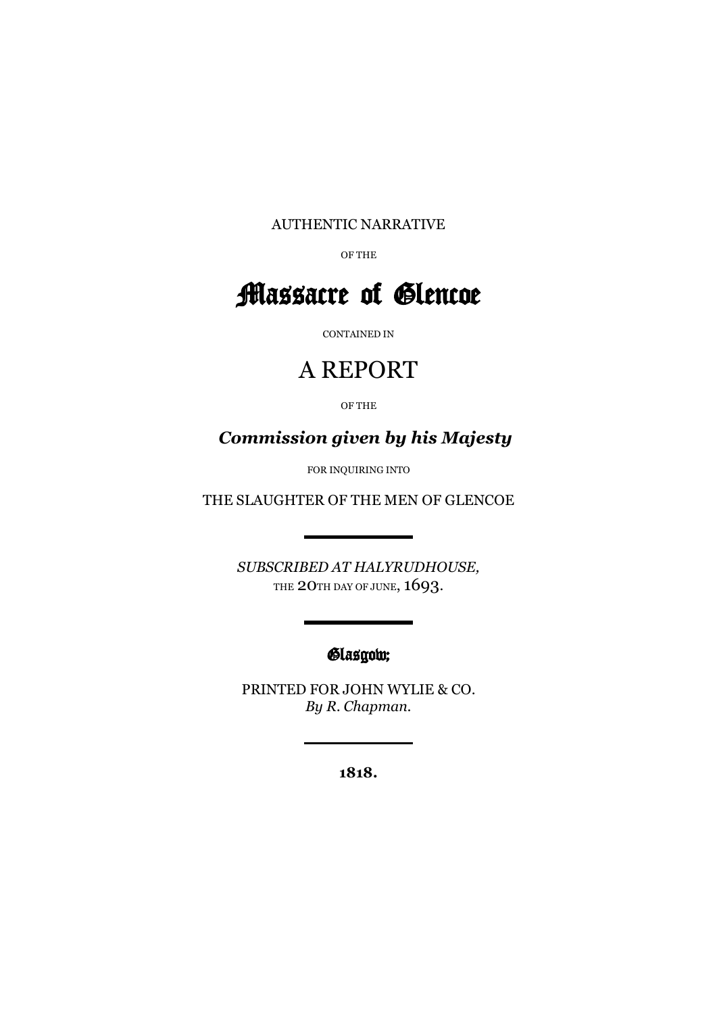AUTHENTIC NARRATIVE

OF THE

# Massacre of Glencoe

CONTAINED IN

### A REPORT

OF THE

*Commission given by his Majesty*

FOR INQUIRING INTO

THE SLAUGHTER OF THE MEN OF GLENCOE

*SUBSCRIBED AT HALYRUDHOUSE,*  THE 20TH DAY OF JUNE, 1693.

### Glasgow;

PRINTED FOR JOHN WYLIE & CO. *By R. Chapman.*

**1818.**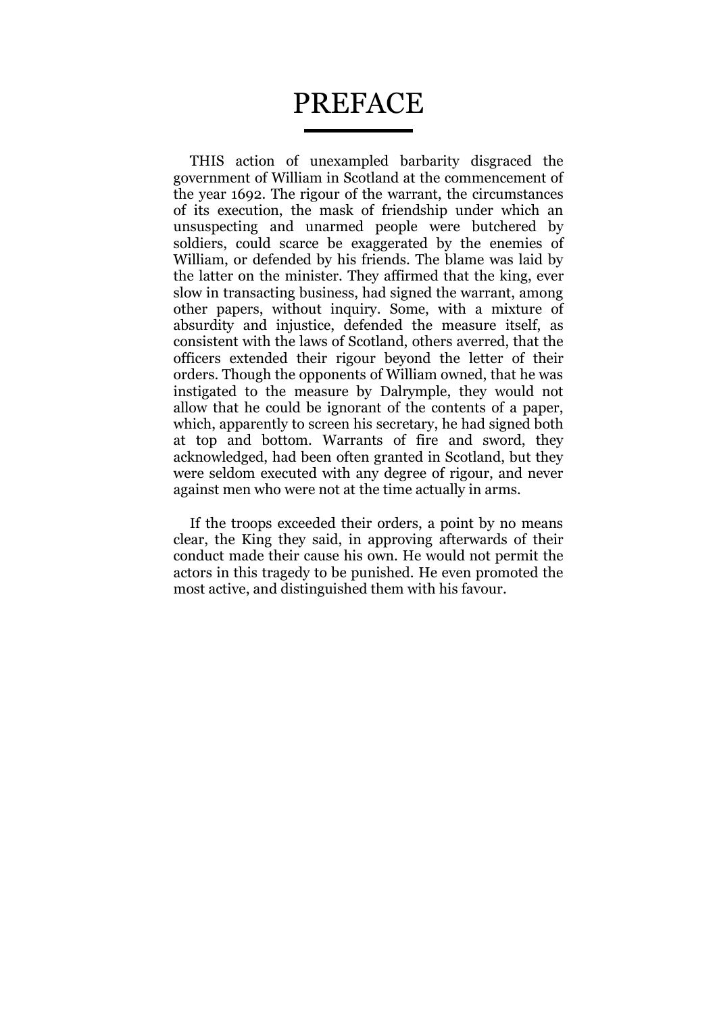## PREFACE

THIS action of unexampled barbarity disgraced the government of William in Scotland at the commencement of the year 1692. The rigour of the warrant, the circumstances of its execution, the mask of friendship under which an unsuspecting and unarmed people were butchered by soldiers, could scarce be exaggerated by the enemies of William, or defended by his friends. The blame was laid by the latter on the minister. They affirmed that the king, ever slow in transacting business, had signed the warrant, among other papers, without inquiry. Some, with a mixture of absurdity and injustice, defended the measure itself, as consistent with the laws of Scotland, others averred, that the officers extended their rigour beyond the letter of their orders. Though the opponents of William owned, that he was instigated to the measure by Dalrymple, they would not allow that he could be ignorant of the contents of a paper, which, apparently to screen his secretary, he had signed both at top and bottom. Warrants of fire and sword, they acknowledged, had been often granted in Scotland, but they were seldom executed with any degree of rigour, and never against men who were not at the time actually in arms.

If the troops exceeded their orders, a point by no means clear, the King they said, in approving afterwards of their conduct made their cause his own. He would not permit the actors in this tragedy to be punished. He even promoted the most active, and distinguished them with his favour.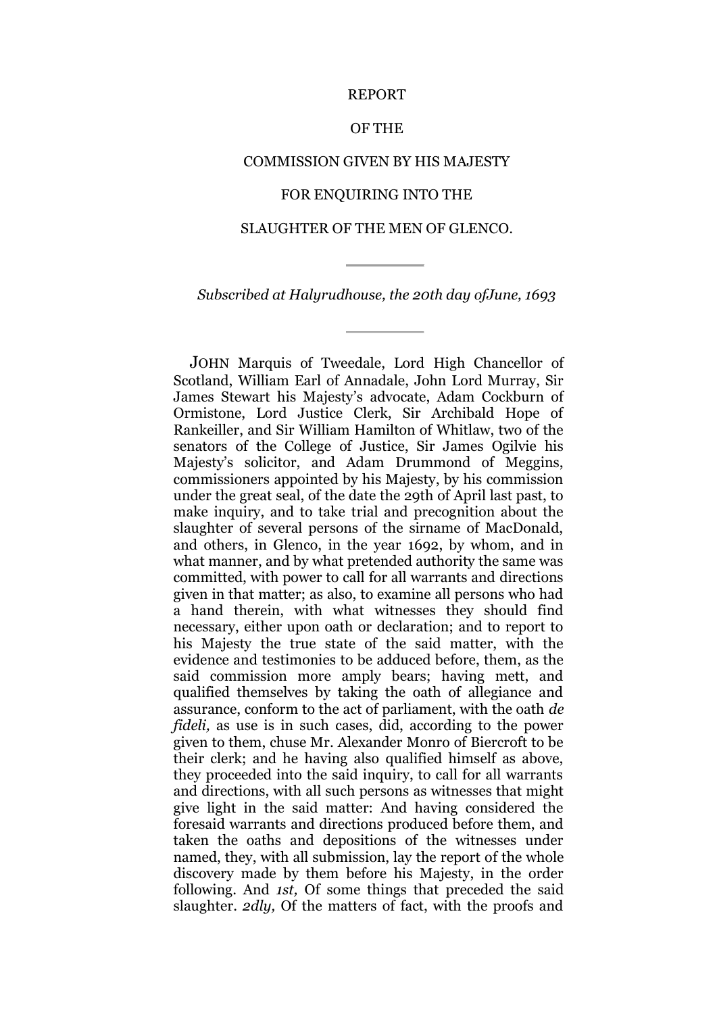#### REPORT

#### OF THE

#### COMMISSION GIVEN BY HIS MAJESTY

#### FOR ENQUIRING INTO THE

#### SLAUGHTER OF THE MEN OF GLENCO.

*Subscribed at Halyrudhouse, the 20th day ofJune, 1693*

JOHN Marquis of Tweedale, Lord High Chancellor of Scotland, William Earl of Annadale, John Lord Murray, Sir James Stewart his Majesty's advocate, Adam Cockburn of Ormistone, Lord Justice Clerk, Sir Archibald Hope of Rankeiller, and Sir William Hamilton of Whitlaw, two of the senators of the College of Justice, Sir James Ogilvie his Majesty's solicitor, and Adam Drummond of Meggins, commissioners appointed by his Majesty, by his commission under the great seal, of the date the 29th of April last past, to make inquiry, and to take trial and precognition about the slaughter of several persons of the sirname of MacDonald, and others, in Glenco, in the year 1692, by whom, and in what manner, and by what pretended authority the same was committed, with power to call for all warrants and directions given in that matter; as also, to examine all persons who had a hand therein, with what witnesses they should find necessary, either upon oath or declaration; and to report to his Majesty the true state of the said matter, with the evidence and testimonies to be adduced before, them, as the said commission more amply bears; having mett, and qualified themselves by taking the oath of allegiance and assurance, conform to the act of parliament, with the oath *de fideli,* as use is in such cases, did, according to the power given to them, chuse Mr. Alexander Monro of Biercroft to be their clerk; and he having also qualified himself as above, they proceeded into the said inquiry, to call for all warrants and directions, with all such persons as witnesses that might give light in the said matter: And having considered the foresaid warrants and directions produced before them, and taken the oaths and depositions of the witnesses under named, they, with all submission, lay the report of the whole discovery made by them before his Majesty, in the order following. And *1st,* Of some things that preceded the said slaughter. *2dly,* Of the matters of fact, with the proofs and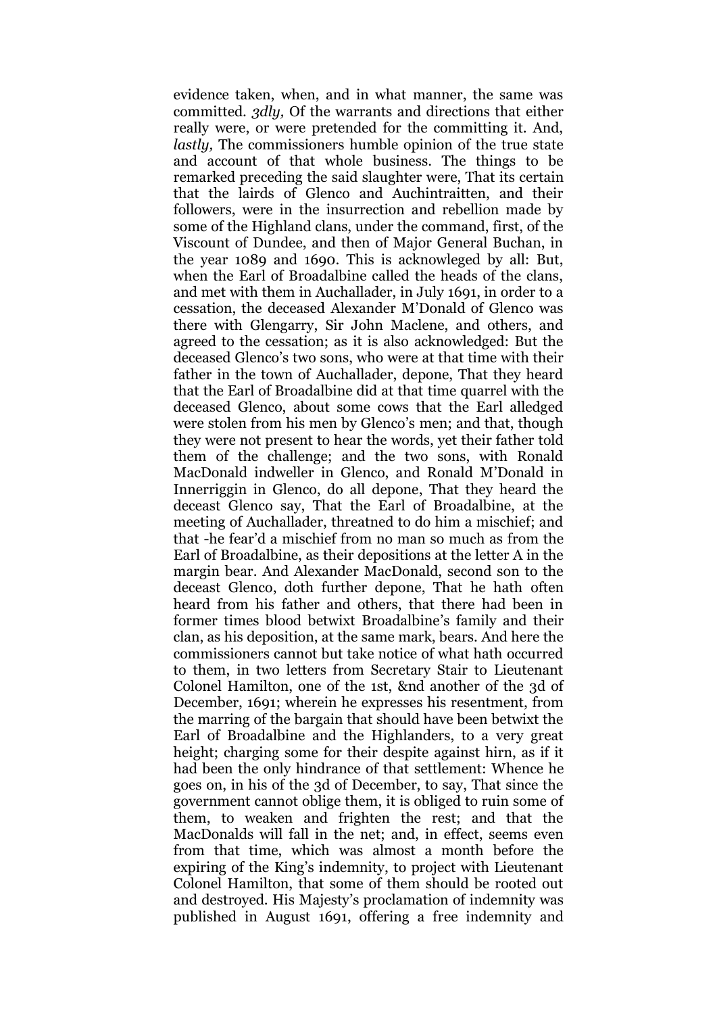evidence taken, when, and in what manner, the same was committed. *3dly,* Of the warrants and directions that either really were, or were pretended for the committing it. And, *lastly,* The commissioners humble opinion of the true state and account of that whole business. The things to be remarked preceding the said slaughter were, That its certain that the lairds of Glenco and Auchintraitten, and their followers, were in the insurrection and rebellion made by some of the Highland clans, under the command, first, of the Viscount of Dundee, and then of Major General Buchan, in the year 1089 and 1690. This is acknowleged by all: But, when the Earl of Broadalbine called the heads of the clans, and met with them in Auchallader, in July 1691, in order to a cessation, the deceased Alexander M'Donald of Glenco was there with Glengarry, Sir John Maclene, and others, and agreed to the cessation; as it is also acknowledged: But the deceased Glenco's two sons, who were at that time with their father in the town of Auchallader, depone, That they heard that the Earl of Broadalbine did at that time quarrel with the deceased Glenco, about some cows that the Earl alledged were stolen from his men by Glenco's men; and that, though they were not present to hear the words, yet their father told them of the challenge; and the two sons, with Ronald MacDonald indweller in Glenco, and Ronald M'Donald in Innerriggin in Glenco, do all depone, That they heard the deceast Glenco say, That the Earl of Broadalbine, at the meeting of Auchallader, threatned to do him a mischief; and that -he fear'd a mischief from no man so much as from the Earl of Broadalbine, as their depositions at the letter A in the margin bear. And Alexander MacDonald, second son to the deceast Glenco, doth further depone, That he hath often heard from his father and others, that there had been in former times blood betwixt Broadalbine's family and their clan, as his deposition, at the same mark, bears. And here the commissioners cannot but take notice of what hath occurred to them, in two letters from Secretary Stair to Lieutenant Colonel Hamilton, one of the 1st, &nd another of the 3d of December, 1691; wherein he expresses his resentment, from the marring of the bargain that should have been betwixt the Earl of Broadalbine and the Highlanders, to a very great height; charging some for their despite against hirn, as if it had been the only hindrance of that settlement: Whence he goes on, in his of the 3d of December, to say, That since the government cannot oblige them, it is obliged to ruin some of them, to weaken and frighten the rest; and that the MacDonalds will fall in the net; and, in effect, seems even from that time, which was almost a month before the expiring of the King's indemnity, to project with Lieutenant Colonel Hamilton, that some of them should be rooted out and destroyed. His Majesty's proclamation of indemnity was published in August 1691, offering a free indemnity and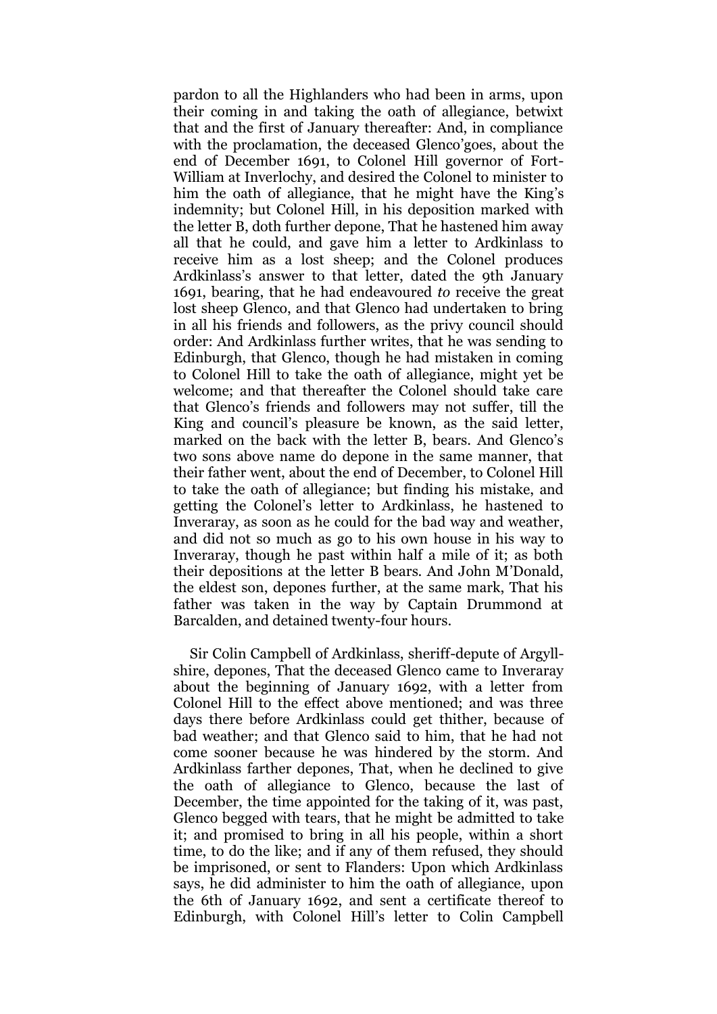pardon to all the Highlanders who had been in arms, upon their coming in and taking the oath of allegiance, betwixt that and the first of January thereafter: And, in compliance with the proclamation, the deceased Glenco'goes, about the end of December 1691, to Colonel Hill governor of Fort-William at Inverlochy, and desired the Colonel to minister to him the oath of allegiance, that he might have the King's indemnity; but Colonel Hill, in his deposition marked with the letter B, doth further depone, That he hastened him away all that he could, and gave him a letter to Ardkinlass to receive him as a lost sheep; and the Colonel produces Ardkinlass's answer to that letter, dated the 9th January 1691, bearing, that he had endeavoured *to* receive the great lost sheep Glenco, and that Glenco had undertaken to bring in all his friends and followers, as the privy council should order: And Ardkinlass further writes, that he was sending to Edinburgh, that Glenco, though he had mistaken in coming to Colonel Hill to take the oath of allegiance, might yet be welcome; and that thereafter the Colonel should take care that Glenco's friends and followers may not suffer, till the King and council's pleasure be known, as the said letter, marked on the back with the letter B, bears. And Glenco's two sons above name do depone in the same manner, that their father went, about the end of December, to Colonel Hill to take the oath of allegiance; but finding his mistake, and getting the Colonel's letter to Ardkinlass, he hastened to Inveraray, as soon as he could for the bad way and weather, and did not so much as go to his own house in his way to Inveraray, though he past within half a mile of it; as both their depositions at the letter B bears. And John M'Donald, the eldest son, depones further, at the same mark, That his father was taken in the way by Captain Drummond at Barcalden, and detained twenty-four hours.

Sir Colin Campbell of Ardkinlass, sheriff-depute of Argyllshire, depones, That the deceased Glenco came to Inveraray about the beginning of January 1692, with a letter from Colonel Hill to the effect above mentioned; and was three days there before Ardkinlass could get thither, because of bad weather; and that Glenco said to him, that he had not come sooner because he was hindered by the storm. And Ardkinlass farther depones, That, when he declined to give the oath of allegiance to Glenco, because the last of December, the time appointed for the taking of it, was past, Glenco begged with tears, that he might be admitted to take it; and promised to bring in all his people, within a short time, to do the like; and if any of them refused, they should be imprisoned, or sent to Flanders: Upon which Ardkinlass says, he did administer to him the oath of allegiance, upon the 6th of January 1692, and sent a certificate thereof to Edinburgh, with Colonel Hill's letter to Colin Campbell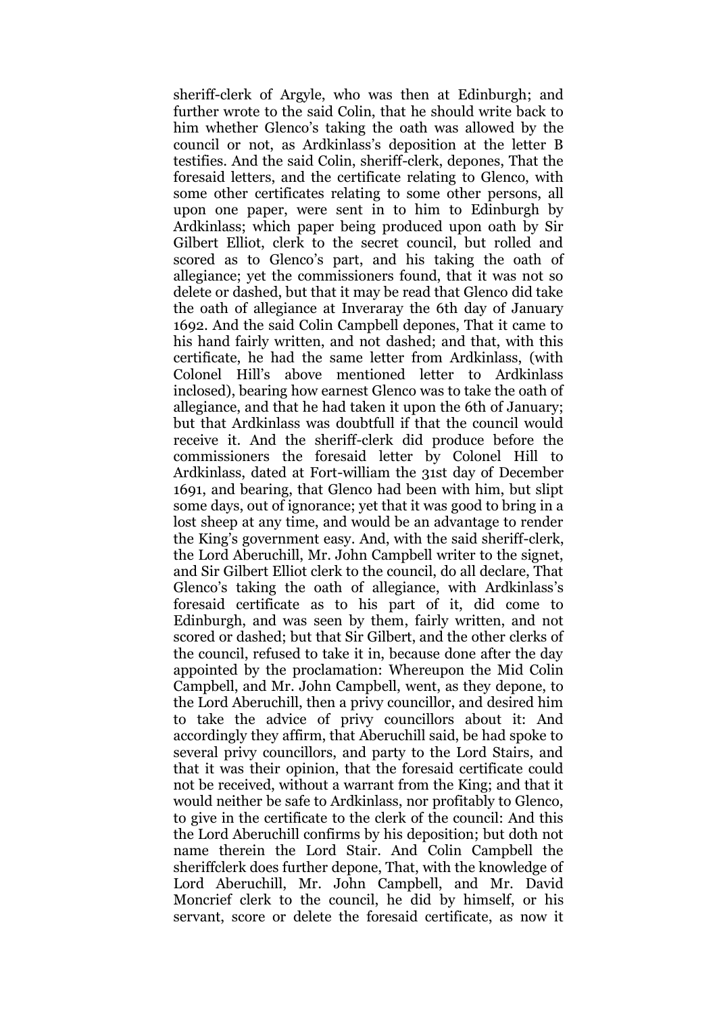sheriff-clerk of Argyle, who was then at Edinburgh; and further wrote to the said Colin, that he should write back to him whether Glenco's taking the oath was allowed by the council or not, as Ardkinlass's deposition at the letter B testifies. And the said Colin, sheriff-clerk, depones, That the foresaid letters, and the certificate relating to Glenco, with some other certificates relating to some other persons, all upon one paper, were sent in to him to Edinburgh by Ardkinlass; which paper being produced upon oath by Sir Gilbert Elliot, clerk to the secret council, but rolled and scored as to Glenco's part, and his taking the oath of allegiance; yet the commissioners found, that it was not so delete or dashed, but that it may be read that Glenco did take the oath of allegiance at Inveraray the 6th day of January 1692. And the said Colin Campbell depones, That it came to his hand fairly written, and not dashed; and that, with this certificate, he had the same letter from Ardkinlass, (with Colonel Hill's above mentioned letter to Ardkinlass inclosed), bearing how earnest Glenco was to take the oath of allegiance, and that he had taken it upon the 6th of January; but that Ardkinlass was doubtfull if that the council would receive it. And the sheriff-clerk did produce before the commissioners the foresaid letter by Colonel Hill to Ardkinlass, dated at Fort-william the 31st day of December 1691, and bearing, that Glenco had been with him, but slipt some days, out of ignorance; yet that it was good to bring in a lost sheep at any time, and would be an advantage to render the King's government easy. And, with the said sheriff-clerk, the Lord Aberuchill, Mr. John Campbell writer to the signet, and Sir Gilbert Elliot clerk to the council, do all declare, That Glenco's taking the oath of allegiance, with Ardkinlass's foresaid certificate as to his part of it, did come to Edinburgh, and was seen by them, fairly written, and not scored or dashed; but that Sir Gilbert, and the other clerks of the council, refused to take it in, because done after the day appointed by the proclamation: Whereupon the Mid Colin Campbell, and Mr. John Campbell, went, as they depone, to the Lord Aberuchill, then a privy councillor, and desired him to take the advice of privy councillors about it: And accordingly they affirm, that Aberuchill said, be had spoke to several privy councillors, and party to the Lord Stairs, and that it was their opinion, that the foresaid certificate could not be received, without a warrant from the King; and that it would neither be safe to Ardkinlass, nor profitably to Glenco, to give in the certificate to the clerk of the council: And this the Lord Aberuchill confirms by his deposition; but doth not name therein the Lord Stair. And Colin Campbell the sheriffclerk does further depone, That, with the knowledge of Lord Aberuchill, Mr. John Campbell, and Mr. David Moncrief clerk to the council, he did by himself, or his servant, score or delete the foresaid certificate, as now it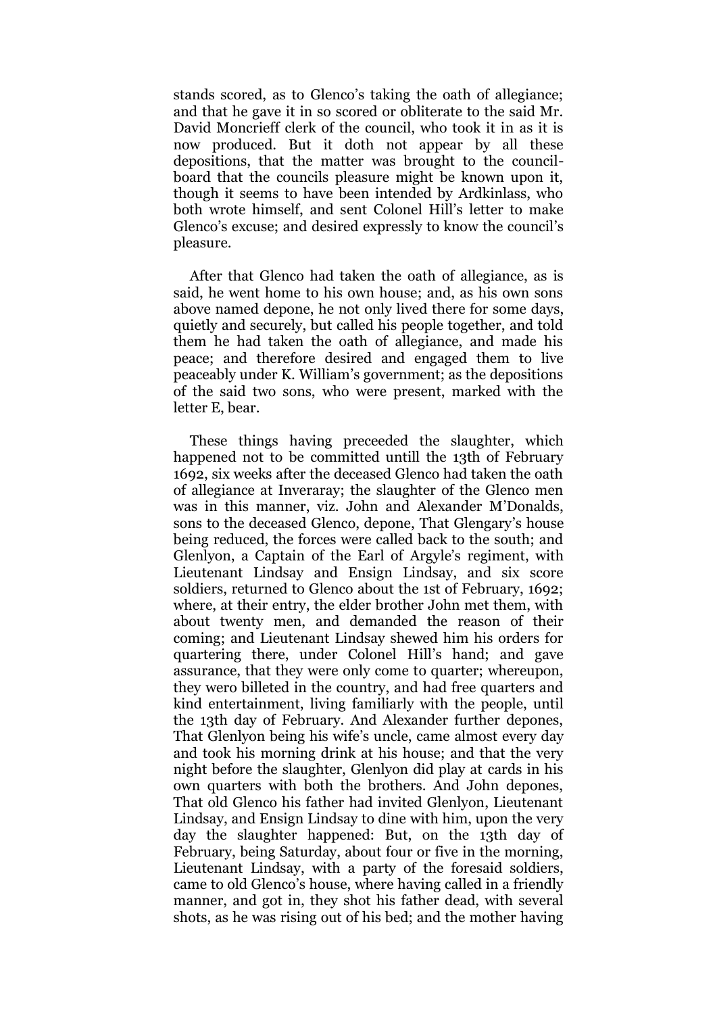stands scored, as to Glenco's taking the oath of allegiance; and that he gave it in so scored or obliterate to the said Mr. David Moncrieff clerk of the council, who took it in as it is now produced. But it doth not appear by all these depositions, that the matter was brought to the councilboard that the councils pleasure might be known upon it, though it seems to have been intended by Ardkinlass, who both wrote himself, and sent Colonel Hill's letter to make Glenco's excuse; and desired expressly to know the council's pleasure.

After that Glenco had taken the oath of allegiance, as is said, he went home to his own house; and, as his own sons above named depone, he not only lived there for some days, quietly and securely, but called his people together, and told them he had taken the oath of allegiance, and made his peace; and therefore desired and engaged them to live peaceably under K. William's government; as the depositions of the said two sons, who were present, marked with the letter E, bear.

These things having preceeded the slaughter, which happened not to be committed untill the 13th of February 1692, six weeks after the deceased Glenco had taken the oath of allegiance at Inveraray; the slaughter of the Glenco men was in this manner, viz. John and Alexander M'Donalds, sons to the deceased Glenco, depone, That Glengary's house being reduced, the forces were called back to the south; and Glenlyon, a Captain of the Earl of Argyle's regiment, with Lieutenant Lindsay and Ensign Lindsay, and six score soldiers, returned to Glenco about the 1st of February, 1692; where, at their entry, the elder brother John met them, with about twenty men, and demanded the reason of their coming; and Lieutenant Lindsay shewed him his orders for quartering there, under Colonel Hill's hand; and gave assurance, that they were only come to quarter; whereupon, they wero billeted in the country, and had free quarters and kind entertainment, living familiarly with the people, until the 13th day of February. And Alexander further depones, That Glenlyon being his wife's uncle, came almost every day and took his morning drink at his house; and that the very night before the slaughter, Glenlyon did play at cards in his own quarters with both the brothers. And John depones, That old Glenco his father had invited Glenlyon, Lieutenant Lindsay, and Ensign Lindsay to dine with him, upon the very day the slaughter happened: But, on the 13th day of February, being Saturday, about four or five in the morning, Lieutenant Lindsay, with a party of the foresaid soldiers, came to old Glenco's house, where having called in a friendly manner, and got in, they shot his father dead, with several shots, as he was rising out of his bed; and the mother having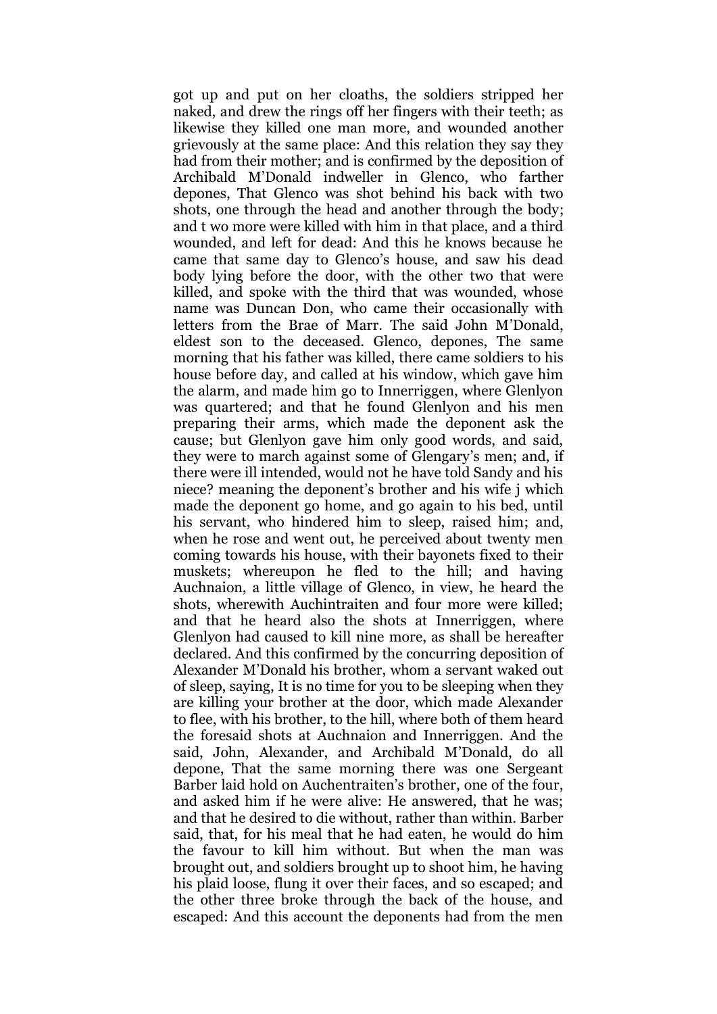got up and put on her cloaths, the soldiers stripped her naked, and drew the rings off her fingers with their teeth; as likewise they killed one man more, and wounded another grievously at the same place: And this relation they say they had from their mother; and is confirmed by the deposition of Archibald M'Donald indweller in Glenco, who farther depones, That Glenco was shot behind his back with two shots, one through the head and another through the body; and t wo more were killed with him in that place, and a third wounded, and left for dead: And this he knows because he came that same day to Glenco's house, and saw his dead body lying before the door, with the other two that were killed, and spoke with the third that was wounded, whose name was Duncan Don, who came their occasionally with letters from the Brae of Marr. The said John M'Donald, eldest son to the deceased. Glenco, depones, The same morning that his father was killed, there came soldiers to his house before day, and called at his window, which gave him the alarm, and made him go to Innerriggen, where Glenlyon was quartered; and that he found Glenlyon and his men preparing their arms, which made the deponent ask the cause; but Glenlyon gave him only good words, and said, they were to march against some of Glengary's men; and, if there were ill intended, would not he have told Sandy and his niece? meaning the deponent's brother and his wife j which made the deponent go home, and go again to his bed, until his servant, who hindered him to sleep, raised him; and, when he rose and went out, he perceived about twenty men coming towards his house, with their bayonets fixed to their muskets; whereupon he fled to the hill; and having Auchnaion, a little village of Glenco, in view, he heard the shots, wherewith Auchintraiten and four more were killed; and that he heard also the shots at Innerriggen, where Glenlyon had caused to kill nine more, as shall be hereafter declared. And this confirmed by the concurring deposition of Alexander M'Donald his brother, whom a servant waked out of sleep, saying, It is no time for you to be sleeping when they are killing your brother at the door, which made Alexander to flee, with his brother, to the hill, where both of them heard the foresaid shots at Auchnaion and Innerriggen. And the said, John, Alexander, and Archibald M'Donald, do all depone, That the same morning there was one Sergeant Barber laid hold on Auchentraiten's brother, one of the four, and asked him if he were alive: He answered, that he was; and that he desired to die without, rather than within. Barber said, that, for his meal that he had eaten, he would do him the favour to kill him without. But when the man was brought out, and soldiers brought up to shoot him, he having his plaid loose, flung it over their faces, and so escaped; and the other three broke through the back of the house, and escaped: And this account the deponents had from the men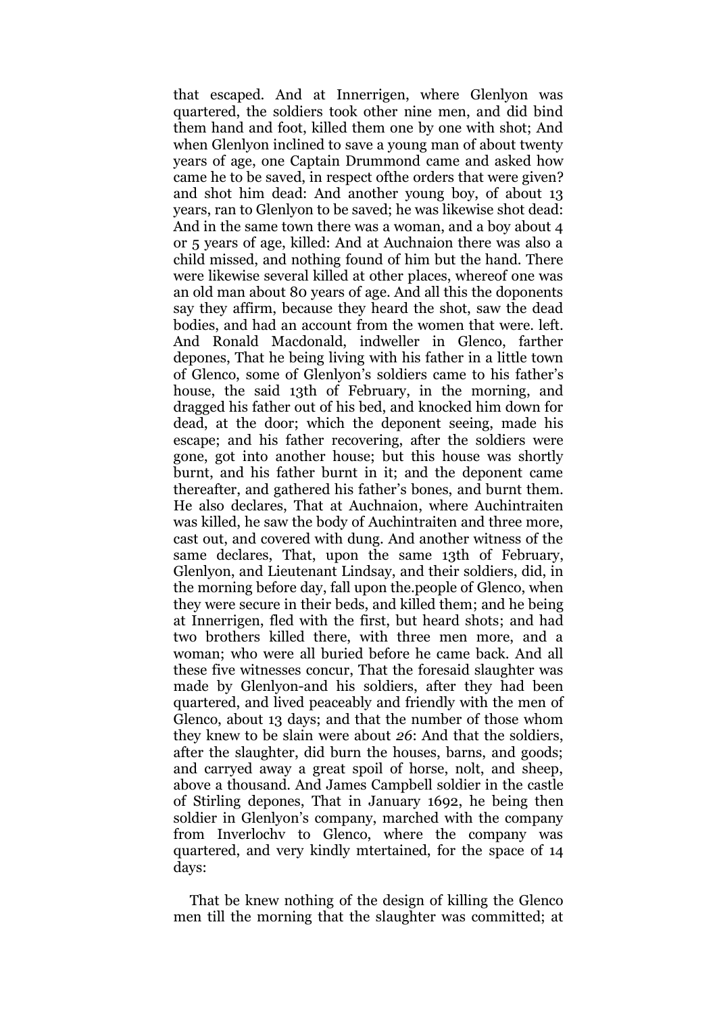that escaped. And at Innerrigen, where Glenlyon was quartered, the soldiers took other nine men, and did bind them hand and foot, killed them one by one with shot; And when Glenlyon inclined to save a young man of about twenty years of age, one Captain Drummond came and asked how came he to be saved, in respect ofthe orders that were given? and shot him dead: And another young boy, of about 13 years, ran to Glenlyon to be saved; he was likewise shot dead: And in the same town there was a woman, and a boy about 4 or 5 years of age, killed: And at Auchnaion there was also a child missed, and nothing found of him but the hand. There were likewise several killed at other places, whereof one was an old man about 80 years of age. And all this the doponents say they affirm, because they heard the shot, saw the dead bodies, and had an account from the women that were. left. And Ronald Macdonald, indweller in Glenco, farther depones, That he being living with his father in a little town of Glenco, some of Glenlyon's soldiers came to his father's house, the said 13th of February, in the morning, and dragged his father out of his bed, and knocked him down for dead, at the door; which the deponent seeing, made his escape; and his father recovering, after the soldiers were gone, got into another house; but this house was shortly burnt, and his father burnt in it; and the deponent came thereafter, and gathered his father's bones, and burnt them. He also declares, That at Auchnaion, where Auchintraiten was killed, he saw the body of Auchintraiten and three more, cast out, and covered with dung. And another witness of the same declares, That, upon the same 13th of February, Glenlyon, and Lieutenant Lindsay, and their soldiers, did, in the morning before day, fall upon the.people of Glenco, when they were secure in their beds, and killed them; and he being at Innerrigen, fled with the first, but heard shots; and had two brothers killed there, with three men more, and a woman; who were all buried before he came back. And all these five witnesses concur, That the foresaid slaughter was made by Glenlyon-and his soldiers, after they had been quartered, and lived peaceably and friendly with the men of Glenco, about 13 days; and that the number of those whom they knew to be slain were about *26*: And that the soldiers, after the slaughter, did burn the houses, barns, and goods; and carryed away a great spoil of horse, nolt, and sheep, above a thousand. And James Campbell soldier in the castle of Stirling depones, That in January 1692, he being then soldier in Glenlyon's company, marched with the company from Inverlochv to Glenco, where the company was quartered, and very kindly mtertained, for the space of 14 days:

That be knew nothing of the design of killing the Glenco men till the morning that the slaughter was committed; at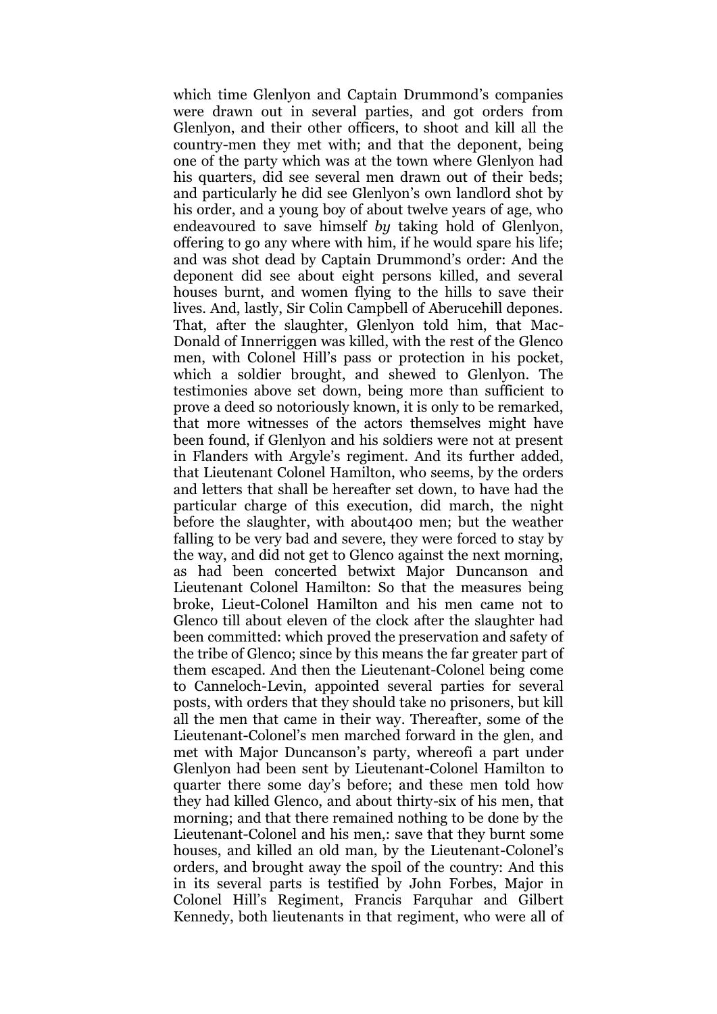which time Glenlyon and Captain Drummond's companies were drawn out in several parties, and got orders from Glenlyon, and their other officers, to shoot and kill all the country-men they met with; and that the deponent, being one of the party which was at the town where Glenlyon had his quarters, did see several men drawn out of their beds; and particularly he did see Glenlyon's own landlord shot by his order, and a young boy of about twelve years of age, who endeavoured to save himself *by* taking hold of Glenlyon, offering to go any where with him, if he would spare his life; and was shot dead by Captain Drummond's order: And the deponent did see about eight persons killed, and several houses burnt, and women flying to the hills to save their lives. And, lastly, Sir Colin Campbell of Aberucehill depones. That, after the slaughter, Glenlyon told him, that Mac-Donald of Innerriggen was killed, with the rest of the Glenco men, with Colonel Hill's pass or protection in his pocket, which a soldier brought, and shewed to Glenlyon. The testimonies above set down, being more than sufficient to prove a deed so notoriously known, it is only to be remarked, that more witnesses of the actors themselves might have been found, if Glenlyon and his soldiers were not at present in Flanders with Argyle's regiment. And its further added, that Lieutenant Colonel Hamilton, who seems, by the orders and letters that shall be hereafter set down, to have had the particular charge of this execution, did march, the night before the slaughter, with about400 men; but the weather falling to be very bad and severe, they were forced to stay by the way, and did not get to Glenco against the next morning, as had been concerted betwixt Major Duncanson and Lieutenant Colonel Hamilton: So that the measures being broke, Lieut-Colonel Hamilton and his men came not to Glenco till about eleven of the clock after the slaughter had been committed: which proved the preservation and safety of the tribe of Glenco; since by this means the far greater part of them escaped. And then the Lieutenant-Colonel being come to Canneloch-Levin, appointed several parties for several posts, with orders that they should take no prisoners, but kill all the men that came in their way. Thereafter, some of the Lieutenant-Colonel's men marched forward in the glen, and met with Major Duncanson's party, whereofi a part under Glenlyon had been sent by Lieutenant-Colonel Hamilton to quarter there some day's before; and these men told how they had killed Glenco, and about thirty-six of his men, that morning; and that there remained nothing to be done by the Lieutenant-Colonel and his men,: save that they burnt some houses, and killed an old man, by the Lieutenant-Colonel's orders, and brought away the spoil of the country: And this in its several parts is testified by John Forbes, Major in Colonel Hill's Regiment, Francis Farquhar and Gilbert Kennedy, both lieutenants in that regiment, who were all of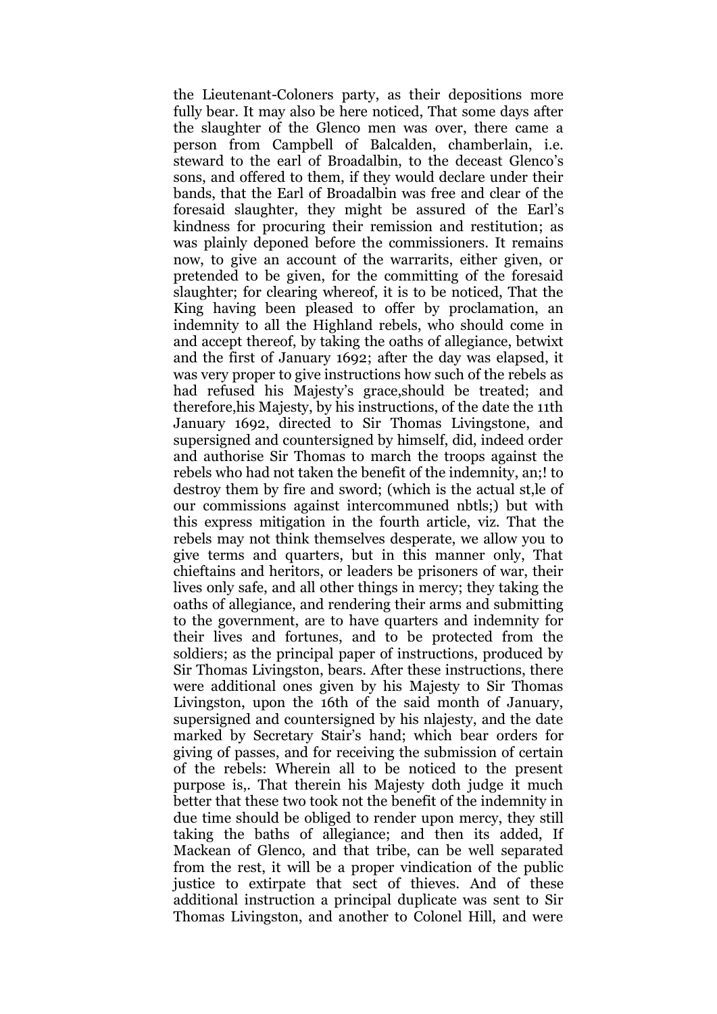the Lieutenant-Coloners party, as their depositions more fully bear. It may also be here noticed, That some days after the slaughter of the Glenco men was over, there came a person from Campbell of Balcalden, chamberlain, i.e. steward to the earl of Broadalbin, to the deceast Glenco's sons, and offered to them, if they would declare under their bands, that the Earl of Broadalbin was free and clear of the foresaid slaughter, they might be assured of the Earl's kindness for procuring their remission and restitution; as was plainly deponed before the commissioners. It remains now, to give an account of the warrarits, either given, or pretended to be given, for the committing of the foresaid slaughter; for clearing whereof, it is to be noticed, That the King having been pleased to offer by proclamation, an indemnity to all the Highland rebels, who should come in and accept thereof, by taking the oaths of allegiance, betwixt and the first of January 1692; after the day was elapsed, it was very proper to give instructions how such of the rebels as had refused his Majesty's grace,should be treated; and therefore,his Majesty, by his instructions, of the date the 11th January 1692, directed to Sir Thomas Livingstone, and supersigned and countersigned by himself, did, indeed order and authorise Sir Thomas to march the troops against the rebels who had not taken the benefit of the indemnity, an;! to destroy them by fire and sword; (which is the actual st,le of our commissions against intercommuned nbtls;) but with this express mitigation in the fourth article, viz. That the rebels may not think themselves desperate, we allow you to give terms and quarters, but in this manner only, That chieftains and heritors, or leaders be prisoners of war, their lives only safe, and all other things in mercy; they taking the oaths of allegiance, and rendering their arms and submitting to the government, are to have quarters and indemnity for their lives and fortunes, and to be protected from the soldiers; as the principal paper of instructions, produced by Sir Thomas Livingston, bears. After these instructions, there were additional ones given by his Majesty to Sir Thomas Livingston, upon the 16th of the said month of January, supersigned and countersigned by his nlajesty, and the date marked by Secretary Stair's hand; which bear orders for giving of passes, and for receiving the submission of certain of the rebels: Wherein all to be noticed to the present purpose is,. That therein his Majesty doth judge it much better that these two took not the benefit of the indemnity in due time should be obliged to render upon mercy, they still taking the baths of allegiance; and then its added, If Mackean of Glenco, and that tribe, can be well separated from the rest, it will be a proper vindication of the public justice to extirpate that sect of thieves. And of these additional instruction a principal duplicate was sent to Sir Thomas Livingston, and another to Colonel Hill, and were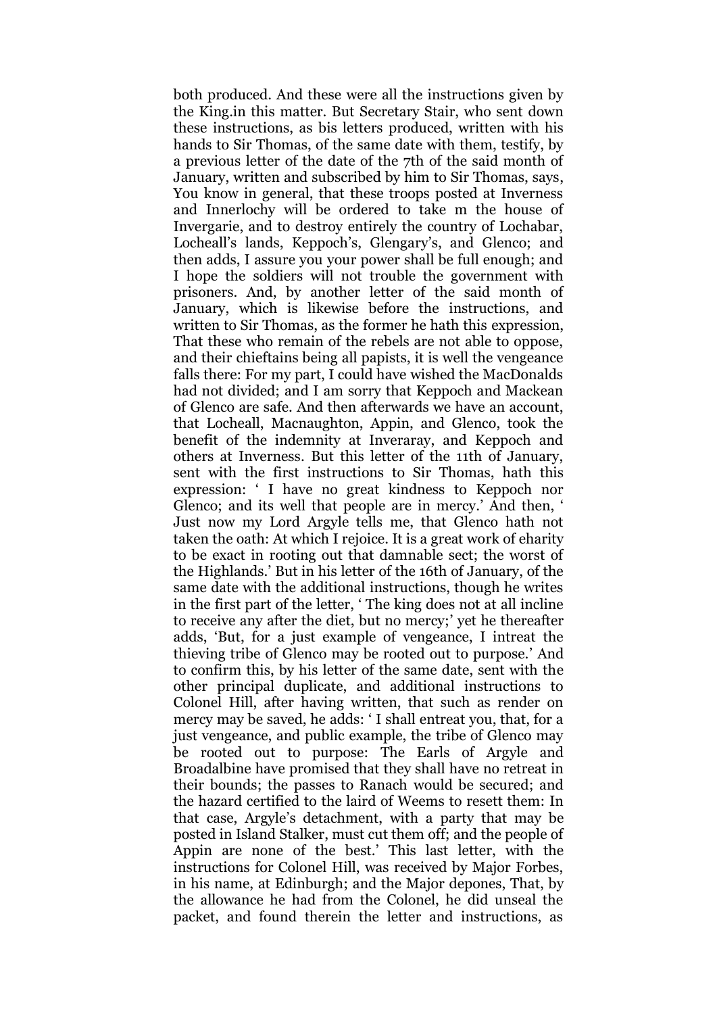both produced. And these were all the instructions given by the King.in this matter. But Secretary Stair, who sent down these instructions, as bis letters produced, written with his hands to Sir Thomas, of the same date with them, testify, by a previous letter of the date of the 7th of the said month of January, written and subscribed by him to Sir Thomas, says, You know in general, that these troops posted at Inverness and Innerlochy will be ordered to take m the house of Invergarie, and to destroy entirely the country of Lochabar, Locheall's lands, Keppoch's, Glengary's, and Glenco; and then adds, I assure you your power shall be full enough; and I hope the soldiers will not trouble the government with prisoners. And, by another letter of the said month of January, which is likewise before the instructions, and written to Sir Thomas, as the former he hath this expression, That these who remain of the rebels are not able to oppose, and their chieftains being all papists, it is well the vengeance falls there: For my part, I could have wished the MacDonalds had not divided; and I am sorry that Keppoch and Mackean of Glenco are safe. And then afterwards we have an account, that Locheall, Macnaughton, Appin, and Glenco, took the benefit of the indemnity at Inveraray, and Keppoch and others at Inverness. But this letter of the 11th of January, sent with the first instructions to Sir Thomas, hath this expression: ' I have no great kindness to Keppoch nor Glenco; and its well that people are in mercy.' And then, ' Just now my Lord Argyle tells me, that Glenco hath not taken the oath: At which I rejoice. It is a great work of eharity to be exact in rooting out that damnable sect; the worst of the Highlands.' But in his letter of the 16th of January, of the same date with the additional instructions, though he writes in the first part of the letter, ' The king does not at all incline to receive any after the diet, but no mercy;' yet he thereafter adds, 'But, for a just example of vengeance, I intreat the thieving tribe of Glenco may be rooted out to purpose.' And to confirm this, by his letter of the same date, sent with the other principal duplicate, and additional instructions to Colonel Hill, after having written, that such as render on mercy may be saved, he adds: ' I shall entreat you, that, for a just vengeance, and public example, the tribe of Glenco may be rooted out to purpose: The Earls of Argyle and Broadalbine have promised that they shall have no retreat in their bounds; the passes to Ranach would be secured; and the hazard certified to the laird of Weems to resett them: In that case, Argyle's detachment, with a party that may be posted in Island Stalker, must cut them off; and the people of Appin are none of the best.' This last letter, with the instructions for Colonel Hill, was received by Major Forbes, in his name, at Edinburgh; and the Major depones, That, by the allowance he had from the Colonel, he did unseal the packet, and found therein the letter and instructions, as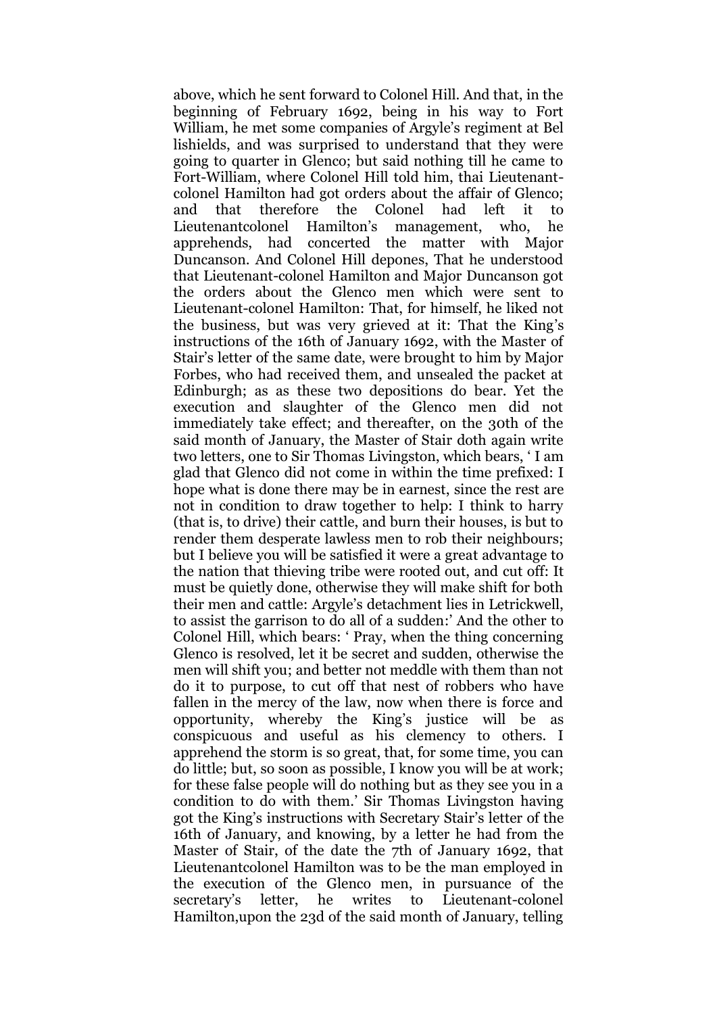above, which he sent forward to Colonel Hill. And that, in the beginning of February 1692, being in his way to Fort William, he met some companies of Argyle's regiment at Bel lishields, and was surprised to understand that they were going to quarter in Glenco; but said nothing till he came to Fort-William, where Colonel Hill told him, thai Lieutenantcolonel Hamilton had got orders about the affair of Glenco; and that therefore the Colonel had left it to Lieutenantcolonel Hamilton's management, who, he apprehends, had concerted the matter with Major Duncanson. And Colonel Hill depones, That he understood that Lieutenant-colonel Hamilton and Major Duncanson got the orders about the Glenco men which were sent to Lieutenant-colonel Hamilton: That, for himself, he liked not the business, but was very grieved at it: That the King's instructions of the 16th of January 1692, with the Master of Stair's letter of the same date, were brought to him by Major Forbes, who had received them, and unsealed the packet at Edinburgh; as as these two depositions do bear. Yet the execution and slaughter of the Glenco men did not immediately take effect; and thereafter, on the 30th of the said month of January, the Master of Stair doth again write two letters, one to Sir Thomas Livingston, which bears, ' I am glad that Glenco did not come in within the time prefixed: I hope what is done there may be in earnest, since the rest are not in condition to draw together to help: I think to harry (that is, to drive) their cattle, and burn their houses, is but to render them desperate lawless men to rob their neighbours; but I believe you will be satisfied it were a great advantage to the nation that thieving tribe were rooted out, and cut off: It must be quietly done, otherwise they will make shift for both their men and cattle: Argyle's detachment lies in Letrickwell, to assist the garrison to do all of a sudden:' And the other to Colonel Hill, which bears: ' Pray, when the thing concerning Glenco is resolved, let it be secret and sudden, otherwise the men will shift you; and better not meddle with them than not do it to purpose, to cut off that nest of robbers who have fallen in the mercy of the law, now when there is force and opportunity, whereby the King's justice will be as conspicuous and useful as his clemency to others. I apprehend the storm is so great, that, for some time, you can do little; but, so soon as possible, I know you will be at work; for these false people will do nothing but as they see you in a condition to do with them.' Sir Thomas Livingston having got the King's instructions with Secretary Stair's letter of the 16th of January, and knowing, by a letter he had from the Master of Stair, of the date the 7th of January 1692, that Lieutenantcolonel Hamilton was to be the man employed in the execution of the Glenco men, in pursuance of the secretary's letter, he writes to Lieutenant-colonel Hamilton,upon the 23d of the said month of January, telling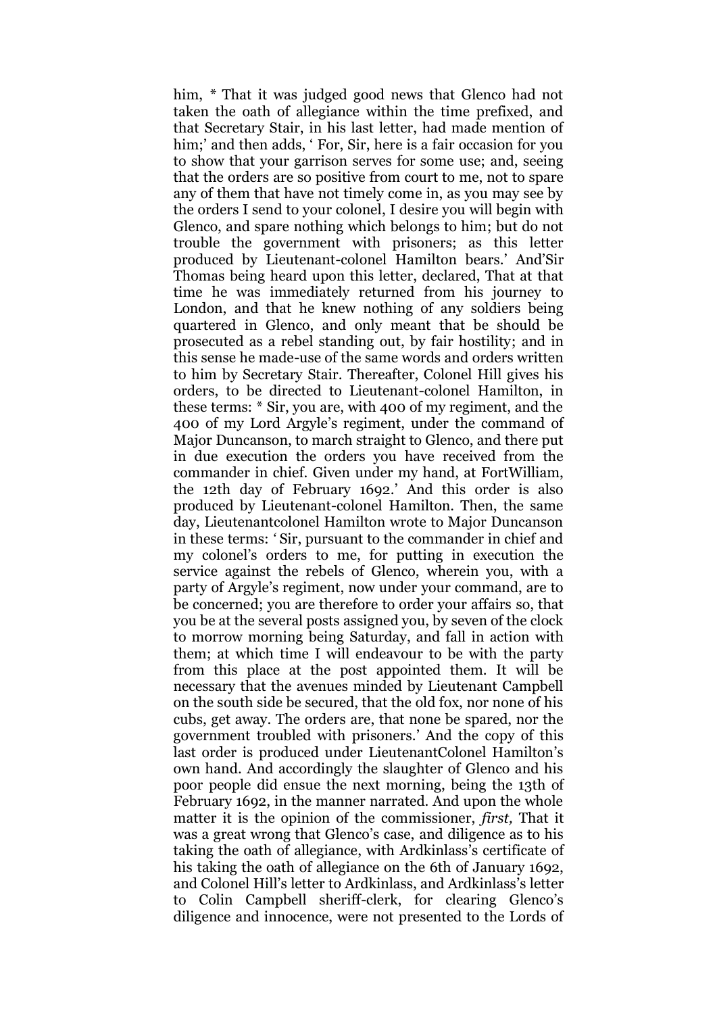him, *\** That it was judged good news that Glenco had not taken the oath of allegiance within the time prefixed, and that Secretary Stair, in his last letter, had made mention of him;' and then adds, ' For, Sir, here is a fair occasion for you to show that your garrison serves for some use; and, seeing that the orders are so positive from court to me, not to spare any of them that have not timely come in, as you may see by the orders I send to your colonel, I desire you will begin with Glenco, and spare nothing which belongs to him; but do not trouble the government with prisoners; as this letter produced by Lieutenant-colonel Hamilton bears.' And'Sir Thomas being heard upon this letter, declared, That at that time he was immediately returned from his journey to London, and that he knew nothing of any soldiers being quartered in Glenco, and only meant that be should be prosecuted as a rebel standing out, by fair hostility; and in this sense he made-use of the same words and orders written to him by Secretary Stair. Thereafter, Colonel Hill gives his orders, to be directed to Lieutenant-colonel Hamilton, in these terms: \* Sir, you are, with 400 of my regiment, and the 400 of my Lord Argyle's regiment, under the command of Major Duncanson, to march straight to Glenco, and there put in due execution the orders you have received from the commander in chief. Given under my hand, at FortWilliam, the 12th day of February 1692.' And this order is also produced by Lieutenant-colonel Hamilton. Then, the same day, Lieutenantcolonel Hamilton wrote to Major Duncanson in these terms: *'* Sir, pursuant to the commander in chief and my colonel's orders to me, for putting in execution the service against the rebels of Glenco, wherein you, with a party of Argyle's regiment, now under your command, are to be concerned; you are therefore to order your affairs so, that you be at the several posts assigned you, by seven of the clock to morrow morning being Saturday, and fall in action with them; at which time I will endeavour to be with the party from this place at the post appointed them. It will be necessary that the avenues minded by Lieutenant Campbell on the south side be secured, that the old fox, nor none of his cubs, get away. The orders are, that none be spared, nor the government troubled with prisoners.' And the copy of this last order is produced under LieutenantColonel Hamilton's own hand. And accordingly the slaughter of Glenco and his poor people did ensue the next morning, being the 13th of February 1692, in the manner narrated. And upon the whole matter it is the opinion of the commissioner, *first,* That it was a great wrong that Glenco's case, and diligence as to his taking the oath of allegiance, with Ardkinlass's certificate of his taking the oath of allegiance on the 6th of January 1692, and Colonel Hill's letter to Ardkinlass, and Ardkinlass's letter to Colin Campbell sheriff-clerk, for clearing Glenco's diligence and innocence, were not presented to the Lords of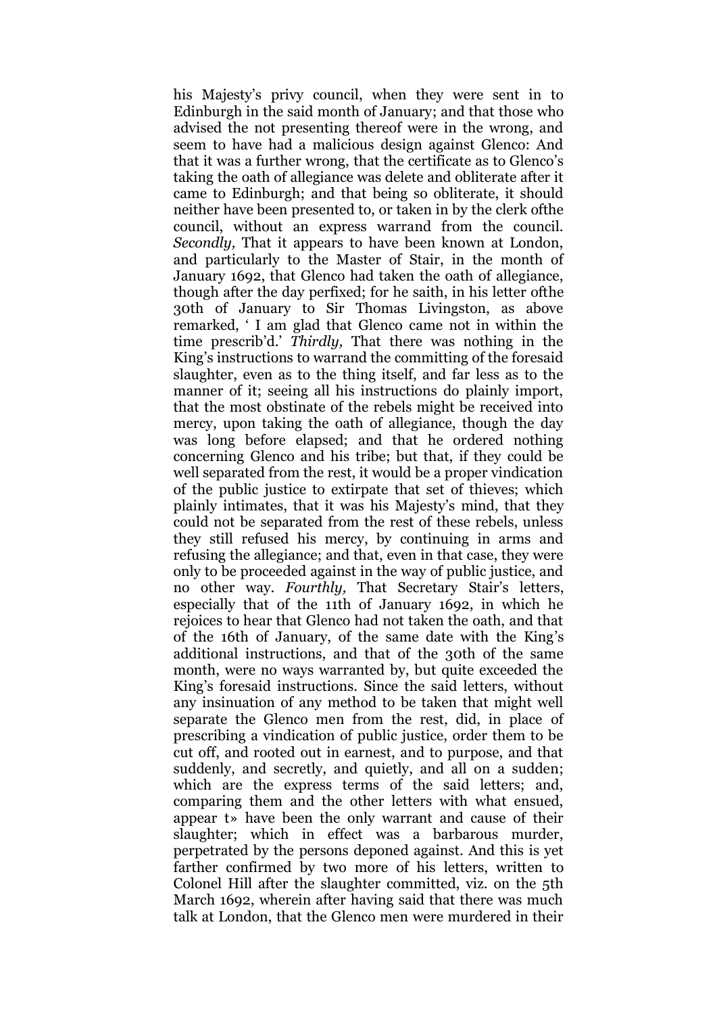his Majesty's privy council, when they were sent in to Edinburgh in the said month of January; and that those who advised the not presenting thereof were in the wrong, and seem to have had a malicious design against Glenco: And that it was a further wrong, that the certificate as to Glenco's taking the oath of allegiance was delete and obliterate after it came to Edinburgh; and that being so obliterate, it should neither have been presented to, or taken in by the clerk ofthe council, without an express warrand from the council. *Secondly,* That it appears to have been known at London, and particularly to the Master of Stair, in the month of January 1692, that Glenco had taken the oath of allegiance, though after the day perfixed; for he saith, in his letter ofthe 30th of January to Sir Thomas Livingston, as above remarked, ' I am glad that Glenco came not in within the time prescrib'd.' *Thirdly,* That there was nothing in the King's instructions to warrand the committing of the foresaid slaughter, even as to the thing itself, and far less as to the manner of it; seeing all his instructions do plainly import, that the most obstinate of the rebels might be received into mercy, upon taking the oath of allegiance, though the day was long before elapsed; and that he ordered nothing concerning Glenco and his tribe; but that, if they could be well separated from the rest, it would be a proper vindication of the public justice to extirpate that set of thieves; which plainly intimates, that it was his Majesty's mind, that they could not be separated from the rest of these rebels, unless they still refused his mercy, by continuing in arms and refusing the allegiance; and that, even in that case, they were only to be proceeded against in the way of public justice, and no other way. *Fourthly,* That Secretary Stair's letters, especially that of the 11th of January 1692, in which he rejoices to hear that Glenco had not taken the oath, and that of the 16th of January, of the same date with the King's additional instructions, and that of the 30th of the same month, were no ways warranted by, but quite exceeded the King's foresaid instructions. Since the said letters, without any insinuation of any method to be taken that might well separate the Glenco men from the rest, did, in place of prescribing a vindication of public justice, order them to be cut off, and rooted out in earnest, and to purpose, and that suddenly, and secretly, and quietly, and all on a sudden; which are the express terms of the said letters; and, comparing them and the other letters with what ensued, appear t» have been the only warrant and cause of their slaughter; which in effect was a barbarous murder, perpetrated by the persons deponed against. And this is yet farther confirmed by two more of his letters, written to Colonel Hill after the slaughter committed, viz. on the 5th March 1692, wherein after having said that there was much talk at London, that the Glenco men were murdered in their